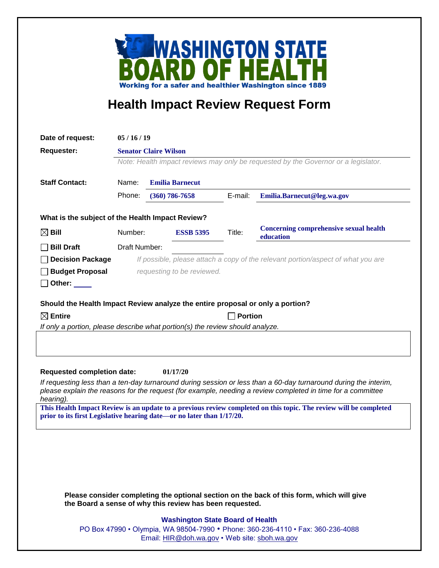

## **Health Impact Review Request Form**

| Date of request:                                                                                                                                                                           | 05/16/19                                                                                                           |                                                                                  |                                               |         |                                                                                                                                                                                                                                 |  |
|--------------------------------------------------------------------------------------------------------------------------------------------------------------------------------------------|--------------------------------------------------------------------------------------------------------------------|----------------------------------------------------------------------------------|-----------------------------------------------|---------|---------------------------------------------------------------------------------------------------------------------------------------------------------------------------------------------------------------------------------|--|
| <b>Requester:</b>                                                                                                                                                                          | <b>Senator Claire Wilson</b><br>Note: Health impact reviews may only be requested by the Governor or a legislator. |                                                                                  |                                               |         |                                                                                                                                                                                                                                 |  |
|                                                                                                                                                                                            |                                                                                                                    |                                                                                  |                                               |         |                                                                                                                                                                                                                                 |  |
| <b>Staff Contact:</b>                                                                                                                                                                      | Name:<br><b>Emilia Barnecut</b>                                                                                    |                                                                                  |                                               |         |                                                                                                                                                                                                                                 |  |
|                                                                                                                                                                                            | Phone:                                                                                                             |                                                                                  | $(360)$ 786-7658                              | E-mail: | Emilia.Barnecut@leg.wa.gov                                                                                                                                                                                                      |  |
| What is the subject of the Health Impact Review?                                                                                                                                           |                                                                                                                    |                                                                                  |                                               |         |                                                                                                                                                                                                                                 |  |
| $\boxtimes$ Bill                                                                                                                                                                           | Number:                                                                                                            |                                                                                  | <b>ESSB 5395</b>                              | Title:  | <b>Concerning comprehensive sexual health</b><br>education                                                                                                                                                                      |  |
| <b>Bill Draft</b>                                                                                                                                                                          | Draft Number:                                                                                                      |                                                                                  |                                               |         |                                                                                                                                                                                                                                 |  |
| <b>Decision Package</b>                                                                                                                                                                    |                                                                                                                    | If possible, please attach a copy of the relevant portion/aspect of what you are |                                               |         |                                                                                                                                                                                                                                 |  |
| <b>Budget Proposal</b>                                                                                                                                                                     | requesting to be reviewed.                                                                                         |                                                                                  |                                               |         |                                                                                                                                                                                                                                 |  |
| Other: $\_\_$                                                                                                                                                                              |                                                                                                                    |                                                                                  |                                               |         |                                                                                                                                                                                                                                 |  |
|                                                                                                                                                                                            |                                                                                                                    |                                                                                  |                                               |         |                                                                                                                                                                                                                                 |  |
| Should the Health Impact Review analyze the entire proposal or only a portion?<br>$\boxtimes$ Entire                                                                                       |                                                                                                                    |                                                                                  |                                               |         |                                                                                                                                                                                                                                 |  |
| <b>Portion</b><br>If only a portion, please describe what portion(s) the review should analyze.                                                                                            |                                                                                                                    |                                                                                  |                                               |         |                                                                                                                                                                                                                                 |  |
|                                                                                                                                                                                            |                                                                                                                    |                                                                                  |                                               |         |                                                                                                                                                                                                                                 |  |
| <b>Requested completion date:</b><br>01/17/20                                                                                                                                              |                                                                                                                    |                                                                                  |                                               |         |                                                                                                                                                                                                                                 |  |
| hearing).                                                                                                                                                                                  |                                                                                                                    |                                                                                  |                                               |         | If requesting less than a ten-day turnaround during session or less than a 60-day turnaround during the interim,<br>please explain the reasons for the request (for example, needing a review completed in time for a committee |  |
| This Health Impact Review is an update to a previous review completed on this topic. The review will be completed<br>prior to its first Legislative hearing date—or no later than 1/17/20. |                                                                                                                    |                                                                                  |                                               |         |                                                                                                                                                                                                                                 |  |
|                                                                                                                                                                                            |                                                                                                                    |                                                                                  |                                               |         |                                                                                                                                                                                                                                 |  |
|                                                                                                                                                                                            |                                                                                                                    |                                                                                  |                                               |         |                                                                                                                                                                                                                                 |  |
|                                                                                                                                                                                            |                                                                                                                    |                                                                                  |                                               |         |                                                                                                                                                                                                                                 |  |
|                                                                                                                                                                                            |                                                                                                                    |                                                                                  |                                               |         |                                                                                                                                                                                                                                 |  |
| Please consider completing the optional section on the back of this form, which will give<br>the Board a sense of why this review has been requested.                                      |                                                                                                                    |                                                                                  |                                               |         |                                                                                                                                                                                                                                 |  |
|                                                                                                                                                                                            |                                                                                                                    |                                                                                  | <b>Washington State Board of Health</b>       |         |                                                                                                                                                                                                                                 |  |
|                                                                                                                                                                                            | PO Box 47990 • Olympia, WA 98504-7990 • Phone: 360-236-4110 • Fax: 360-236-4088                                    |                                                                                  |                                               |         |                                                                                                                                                                                                                                 |  |
|                                                                                                                                                                                            |                                                                                                                    |                                                                                  | Email: HIR@doh.wa.gov • Web site: sboh.wa.gov |         |                                                                                                                                                                                                                                 |  |